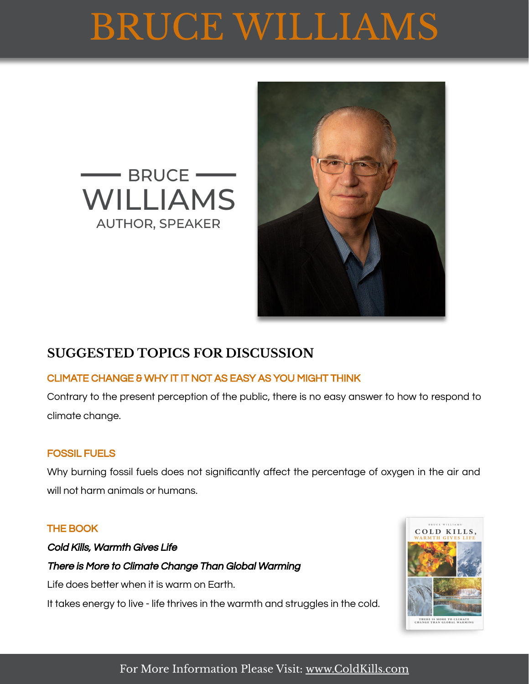# BRUCE WILLIAMS





## **SUGGESTED TOPICS FOR DISCUSSION**

#### CLIMATE CHANGE & WHY IT IT NOT AS EASY AS YOU MIGHT THINK

Contrary to the present perception of the public, there is no easy answer to how to respond to climate change.

#### FOSSIL FUELS

Why burning fossil fuels does not significantly affect the percentage of oxygen in the air and will not harm animals or humans.

#### THE BOOK

Cold Kills, Warmth Gives Life There is More to Climate Change Than Global Warming Life does better when it is warm on Earth.

It takes energy to live - life thrives in the warmth and struggles in the cold.